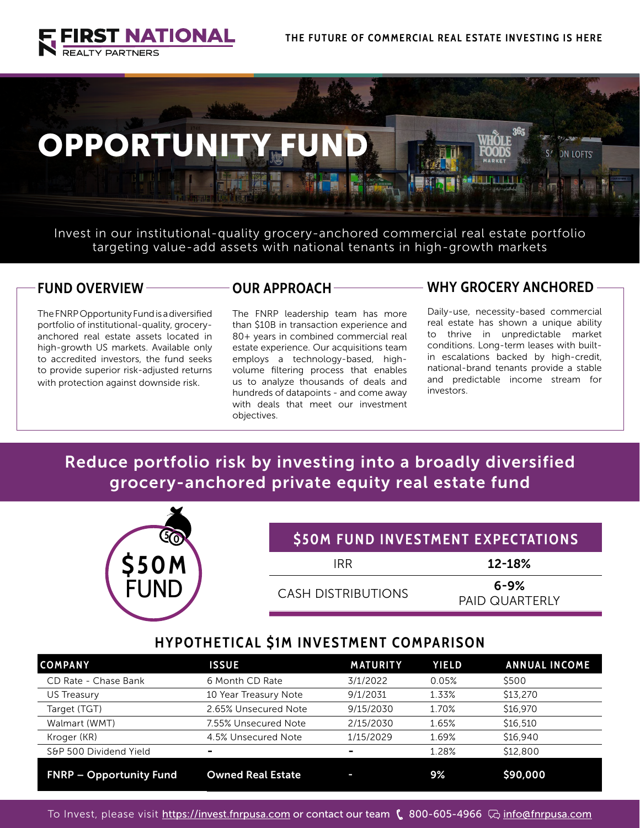



Invest in our institutional-quality grocery-anchored commercial real estate portfolio targeting value-add assets with national tenants in high-growth markets

### **FUND OVERVIEW**

The FNRP Opportunity Fund is a diversified portfolio of institutional-quality, groceryanchored real estate assets located in high-growth US markets. Available only to accredited investors, the fund seeks to provide superior risk-adjusted returns with protection against downside risk.

### **OUR APPROACH**

The FNRP leadership team has more than \$10B in transaction experience and 80+ years in combined commercial real estate experience. Our acquisitions team employs a technology-based, highvolume filtering process that enables us to analyze thousands of deals and hundreds of datapoints - and come away with deals that meet our investment objectives.

### **WHY GROCERY ANCHORED**

Daily-use, necessity-based commercial real estate has shown a unique ability to thrive in unpredictable market conditions. Long-term leases with builtin escalations backed by high-credit, national-brand tenants provide a stable and predictable income stream for investors.

# Reduce portfolio risk by investing into a broadly diversified grocery-anchored private equity real estate fund

|             |                           | <b><i>S50M FUND INVESTMENT EXPECTATIONS</i></b> |
|-------------|---------------------------|-------------------------------------------------|
| <b>S50M</b> | <b>IRR</b>                | 12-18%                                          |
| <b>FUND</b> | <b>CASH DISTRIBUTIONS</b> | $6 - 9%$<br><b>PAID QUARTERLY</b>               |

# **HYPOTHETICAL \$1M INVESTMENT COMPARISON**

| <b>COMPANY</b>                 | <b>ISSUE</b>             | <b>MATURITY</b> | <b>YIELD</b> | <b>ANNUAL INCOME</b> |
|--------------------------------|--------------------------|-----------------|--------------|----------------------|
| CD Rate - Chase Bank           | 6 Month CD Rate          | 3/1/2022        | 0.05%        | \$500                |
| US Treasury                    | 10 Year Treasury Note    | 9/1/2031        | 1.33%        | \$13,270             |
| Target (TGT)                   | 2.65% Unsecured Note     | 9/15/2030       | 1.70%        | \$16,970             |
| Walmart (WMT)                  | 7.55% Unsecured Note     | 2/15/2030       | 1.65%        | \$16,510             |
| Kroger (KR)                    | 4.5% Unsecured Note      | 1/15/2029       | 1.69%        | \$16,940             |
| S&P 500 Dividend Yield         |                          | -               | 1.28%        | \$12,800             |
| <b>FNRP - Opportunity Fund</b> | <b>Owned Real Estate</b> | -               | 9%           | \$90,000             |

To Invest, please visit <u>https://invest.fnrpusa.com</u> or contact our team ( 800-605-4966 【 [info@fnrpusa.com](mailto:info%40fnrpusa.com?subject=Opportunity%20Fund%20FNRP)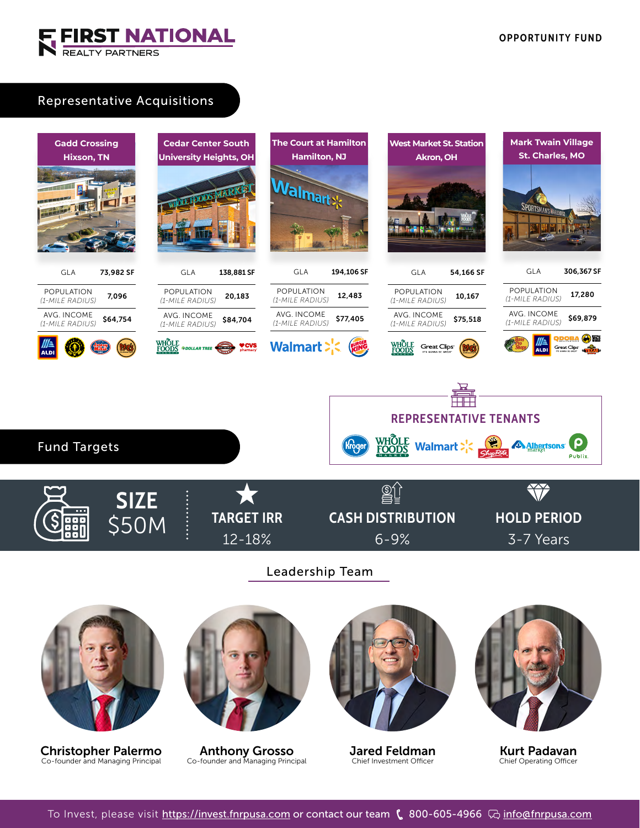

## Representative Acquisitions

Christopher Palermo Co-founder and Managing Principal



To Invest, please visit <https://invest.fnrpusa.com>or contact our team (\$800-605-4966 【 [info@fnrpusa.com](mailto:info%40fnrpusa.com?subject=Opportunity%20Fund%20FNRP)

Jared Feldman Chief Investment Officer

Kurt Padavan Chief Operating Officer

Anthony Grosso Co-founder and Managing Principal